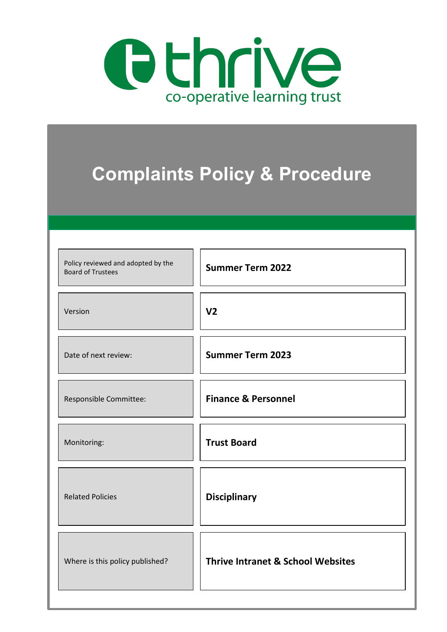

|                                                                | <b>Complaints Policy &amp; Procedure</b>     |
|----------------------------------------------------------------|----------------------------------------------|
| Policy reviewed and adopted by the<br><b>Board of Trustees</b> | <b>Summer Term 2022</b>                      |
| Version                                                        | V <sub>2</sub>                               |
| Date of next review:                                           | <b>Summer Term 2023</b>                      |
| Responsible Committee:                                         | <b>Finance &amp; Personnel</b>               |
| Monitoring:                                                    | <b>Trust Board</b>                           |
| <b>Related Policies</b>                                        | <b>Disciplinary</b>                          |
| Where is this policy published?                                | <b>Thrive Intranet &amp; School Websites</b> |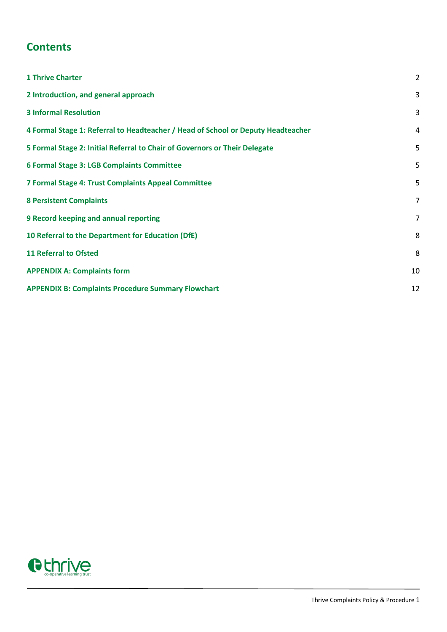# **Contents**

| <b>1 Thrive Charter</b>                                                          | $\overline{2}$ |
|----------------------------------------------------------------------------------|----------------|
| 2 Introduction, and general approach                                             | 3              |
| <b>3 Informal Resolution</b>                                                     | 3              |
| 4 Formal Stage 1: Referral to Headteacher / Head of School or Deputy Headteacher | 4              |
| 5 Formal Stage 2: Initial Referral to Chair of Governors or Their Delegate       | 5              |
| 6 Formal Stage 3: LGB Complaints Committee                                       | 5              |
| 7 Formal Stage 4: Trust Complaints Appeal Committee                              | 5              |
| <b>8 Persistent Complaints</b>                                                   | $\overline{7}$ |
| 9 Record keeping and annual reporting                                            | $\overline{7}$ |
| 10 Referral to the Department for Education (DfE)                                | 8              |
| <b>11 Referral to Ofsted</b>                                                     | 8              |
| <b>APPENDIX A: Complaints form</b>                                               | 10             |
| <b>APPENDIX B: Complaints Procedure Summary Flowchart</b>                        | 12             |

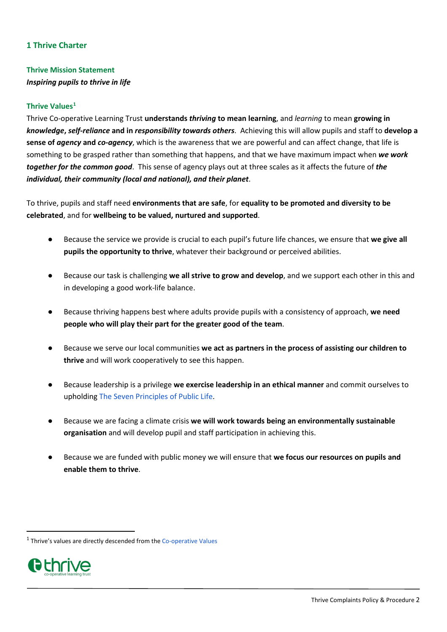#### <span id="page-2-0"></span>**1 Thrive Charter**

## **Thrive Mission Statement** *Inspiring pupils to thrive in life*

#### **Thrive Values[1](#page-2-1)**

Thrive Co-operative Learning Trust **understands** *thriving* **to mean learning**, and *learning* to mean **growing in**  *knowledge***,** *self-reliance* **and in** *responsibility towards others*. Achieving this will allow pupils and staff to **develop a sense of** *agency* **and** *co-agency*, which is the awareness that we are powerful and can affect change, that life is something to be grasped rather than something that happens, and that we have maximum impact when *we work together for the common good*. This sense of agency plays out at three scales as it affects the future of *the individual, their community (local and national), and their planet*.

To thrive, pupils and staff need **environments that are safe**, for **equality to be promoted and diversity to be celebrated**, and for **wellbeing to be valued, nurtured and supported**.

- Because the service we provide is crucial to each pupil's future life chances, we ensure that **we give all pupils the opportunity to thrive**, whatever their background or perceived abilities.
- Because our task is challenging **we all strive to grow and develop**, and we support each other in this and in developing a good work-life balance.
- Because thriving happens best where adults provide pupils with a consistency of approach, we need **people who will play their part for the greater good of the team**.
- Because we serve our local communities we act as partners in the process of assisting our children to **thrive** and will work cooperatively to see this happen.
- Because leadership is a privilege **we exercise leadership in an ethical manner** and commit ourselves to upholding [The Seven Principles of Public Life.](https://www.gov.uk/government/publications/the-7-principles-of-public-life/the-7-principles-of-public-life--2)
- Because we are facing a climate crisis we will work towards being an environmentally sustainable **organisation** and will develop pupil and staff participation in achieving this.
- Because we are funded with public money we will ensure that we focus our resources on pupils and **enable them to thrive**.

<span id="page-2-1"></span> $1$  Thrive's values are directly descended from the [Co-operative Values](https://csnetwork.coop/index.php/cooperative-values-and-principles/)

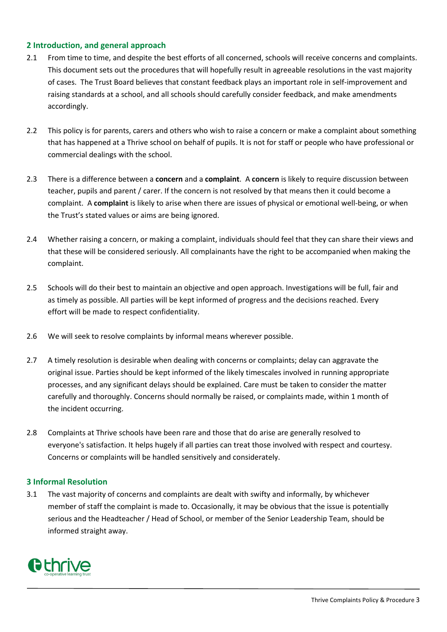## <span id="page-3-0"></span>**2 Introduction, and general approach**

- 2.1 From time to time, and despite the best efforts of all concerned, schools will receive concerns and complaints. This document sets out the procedures that will hopefully result in agreeable resolutions in the vast majority of cases. The Trust Board believes that constant feedback plays an important role in self-improvement and raising standards at a school, and all schools should carefully consider feedback, and make amendments accordingly.
- 2.2 This policy is for parents, carers and others who wish to raise a concern or make a complaint about something that has happened at a Thrive school on behalf of pupils. It is not for staff or people who have professional or commercial dealings with the school.
- 2.3 There is a difference between a **concern** and a **complaint**. A **concern** is likely to require discussion between teacher, pupils and parent / carer. If the concern is not resolved by that means then it could become a complaint. A **complaint** is likely to arise when there are issues of physical or emotional well-being, or when the Trust's stated values or aims are being ignored.
- 2.4 Whether raising a concern, or making a complaint, individuals should feel that they can share their views and that these will be considered seriously. All complainants have the right to be accompanied when making the complaint.
- 2.5 Schools will do their best to maintain an objective and open approach. Investigations will be full, fair and as timely as possible. All parties will be kept informed of progress and the decisions reached. Every effort will be made to respect confidentiality.
- 2.6 We will seek to resolve complaints by informal means wherever possible.
- 2.7 A timely resolution is desirable when dealing with concerns or complaints; delay can aggravate the original issue. Parties should be kept informed of the likely timescales involved in running appropriate processes, and any significant delays should be explained. Care must be taken to consider the matter carefully and thoroughly. Concerns should normally be raised, or complaints made, within 1 month of the incident occurring.
- 2.8 Complaints at Thrive schools have been rare and those that do arise are generally resolved to everyone's satisfaction. It helps hugely if all parties can treat those involved with respect and courtesy. Concerns or complaints will be handled sensitively and considerately.

#### <span id="page-3-1"></span>**3 Informal Resolution**

3.1 The vast majority of concerns and complaints are dealt with swifty and informally, by whichever member of staff the complaint is made to. Occasionally, it may be obvious that the issue is potentially serious and the Headteacher / Head of School, or member of the Senior Leadership Team, should be informed straight away.

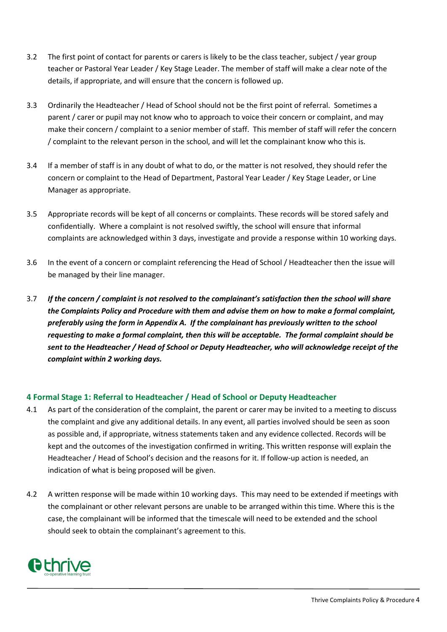- 3.2 The first point of contact for parents or carers is likely to be the class teacher, subject / year group teacher or Pastoral Year Leader / Key Stage Leader. The member of staff will make a clear note of the details, if appropriate, and will ensure that the concern is followed up.
- 3.3 Ordinarily the Headteacher / Head of School should not be the first point of referral. Sometimes a parent / carer or pupil may not know who to approach to voice their concern or complaint, and may make their concern / complaint to a senior member of staff. This member of staff will refer the concern / complaint to the relevant person in the school, and will let the complainant know who this is.
- 3.4 If a member of staff is in any doubt of what to do, or the matter is not resolved, they should refer the concern or complaint to the Head of Department, Pastoral Year Leader / Key Stage Leader, or Line Manager as appropriate.
- 3.5 Appropriate records will be kept of all concerns or complaints. These records will be stored safely and confidentially. Where a complaint is not resolved swiftly, the school will ensure that informal complaints are acknowledged within 3 days, investigate and provide a response within 10 working days.
- 3.6 In the event of a concern or complaint referencing the Head of School / Headteacher then the issue will be managed by their line manager.
- 3.7 *If the concern / complaint is not resolved to the complainant's satisfaction then the school will share the Complaints Policy and Procedure with them and advise them on how to make a formal complaint, preferably using the form in Appendix A. If the complainant has previously written to the school requesting to make a formal complaint, then this will be acceptable. The formal complaint should be sent to the Headteacher / Head of School or Deputy Headteacher, who will acknowledge receipt of the complaint within 2 working days.*

## <span id="page-4-0"></span>**4 Formal Stage 1: Referral to Headteacher / Head of School or Deputy Headteacher**

- 4.1 As part of the consideration of the complaint, the parent or carer may be invited to a meeting to discuss the complaint and give any additional details. In any event, all parties involved should be seen as soon as possible and, if appropriate, witness statements taken and any evidence collected. Records will be kept and the outcomes of the investigation confirmed in writing. This written response will explain the Headteacher / Head of School's decision and the reasons for it. If follow-up action is needed, an indication of what is being proposed will be given.
- 4.2 A written response will be made within 10 working days. This may need to be extended if meetings with the complainant or other relevant persons are unable to be arranged within this time. Where this is the case, the complainant will be informed that the timescale will need to be extended and the school should seek to obtain the complainant's agreement to this.

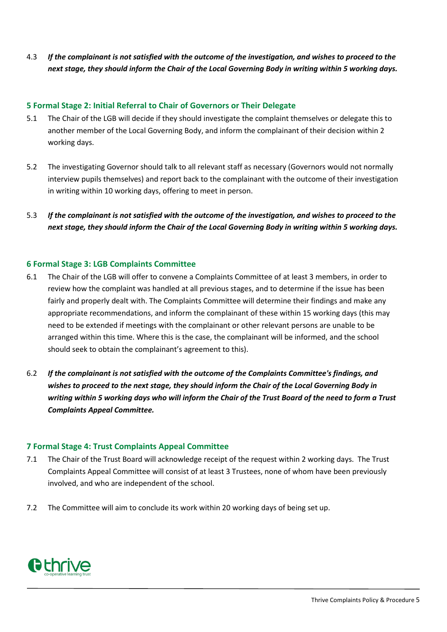4.3 *If the complainant is not satisfied with the outcome of the investigation, and wishes to proceed to the next stage, they should inform the Chair of the Local Governing Body in writing within 5 working days.*

#### <span id="page-5-0"></span>**5 Formal Stage 2: Initial Referral to Chair of Governors or Their Delegate**

- 5.1 The Chair of the LGB will decide if they should investigate the complaint themselves or delegate this to another member of the Local Governing Body, and inform the complainant of their decision within 2 working days.
- 5.2 The investigating Governor should talk to all relevant staff as necessary (Governors would not normally interview pupils themselves) and report back to the complainant with the outcome of their investigation in writing within 10 working days, offering to meet in person.
- 5.3 *If the complainant is not satisfied with the outcome of the investigation, and wishes to proceed to the next stage, they should inform the Chair of the Local Governing Body in writing within 5 working days.*

#### <span id="page-5-1"></span>**6 Formal Stage 3: LGB Complaints Committee**

- 6.1 The Chair of the LGB will offer to convene a Complaints Committee of at least 3 members, in order to review how the complaint was handled at all previous stages, and to determine if the issue has been fairly and properly dealt with. The Complaints Committee will determine their findings and make any appropriate recommendations, and inform the complainant of these within 15 working days (this may need to be extended if meetings with the complainant or other relevant persons are unable to be arranged within this time. Where this is the case, the complainant will be informed, and the school should seek to obtain the complainant's agreement to this).
- 6.2 *If the complainant is not satisfied with the outcome of the Complaints Committee's findings, and wishes to proceed to the next stage, they should inform the Chair of the Local Governing Body in writing within 5 working days who will inform the Chair of the Trust Board of the need to form a Trust Complaints Appeal Committee.*

#### <span id="page-5-2"></span>**7 Formal Stage 4: Trust Complaints Appeal Committee**

- 7.1 The Chair of the Trust Board will acknowledge receipt of the request within 2 working days. The Trust Complaints Appeal Committee will consist of at least 3 Trustees, none of whom have been previously involved, and who are independent of the school.
- 7.2 The Committee will aim to conclude its work within 20 working days of being set up.

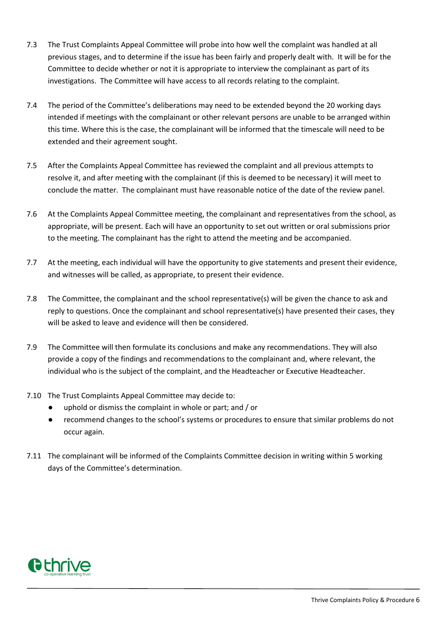- 7.3 The Trust Complaints Appeal Committee will probe into how well the complaint was handled at all previous stages, and to determine if the issue has been fairly and properly dealt with. It will be for the Committee to decide whether or not it is appropriate to interview the complainant as part of its investigations. The Committee will have access to all records relating to the complaint.
- 7.4 The period of the Committee's deliberations may need to be extended beyond the 20 working days intended if meetings with the complainant or other relevant persons are unable to be arranged within this time. Where this is the case, the complainant will be informed that the timescale will need to be extended and their agreement sought.
- 7.5 After the Complaints Appeal Committee has reviewed the complaint and all previous attempts to resolve it, and after meeting with the complainant (if this is deemed to be necessary) it will meet to conclude the matter. The complainant must have reasonable notice of the date of the review panel.
- 7.6 At the Complaints Appeal Committee meeting, the complainant and representatives from the school, as appropriate, will be present. Each will have an opportunity to set out written or oral submissions prior to the meeting. The complainant has the right to attend the meeting and be accompanied.
- 7.7 At the meeting, each individual will have the opportunity to give statements and present their evidence, and witnesses will be called, as appropriate, to present their evidence.
- 7.8 The Committee, the complainant and the school representative(s) will be given the chance to ask and reply to questions. Once the complainant and school representative(s) have presented their cases, they will be asked to leave and evidence will then be considered.
- 7.9 The Committee will then formulate its conclusions and make any recommendations. They will also provide a copy of the findings and recommendations to the complainant and, where relevant, the individual who is the subject of the complaint, and the Headteacher or Executive Headteacher.
- 7.10 The Trust Complaints Appeal Committee may decide to:
	- uphold or dismiss the complaint in whole or part; and / or
	- recommend changes to the school's systems or procedures to ensure that similar problems do not occur again.
- 7.11 The complainant will be informed of the Complaints Committee decision in writing within 5 working days of the Committee's determination.

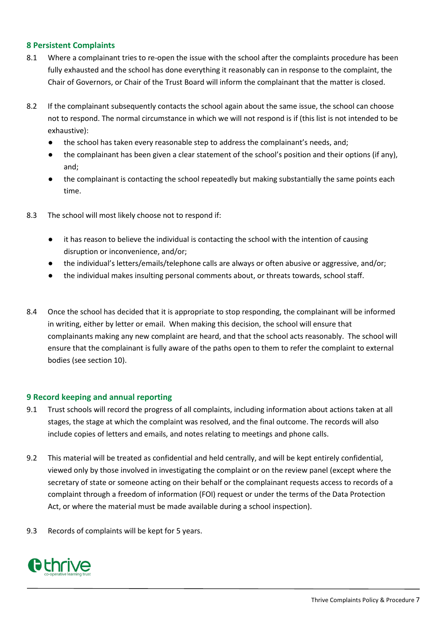#### <span id="page-7-0"></span>**8 Persistent Complaints**

- 8.1 Where a complainant tries to re-open the issue with the school after the complaints procedure has been fully exhausted and the school has done everything it reasonably can in response to the complaint, the Chair of Governors, or Chair of the Trust Board will inform the complainant that the matter is closed.
- 8.2 If the complainant subsequently contacts the school again about the same issue, the school can choose not to respond. The normal circumstance in which we will not respond is if (this list is not intended to be exhaustive):
	- the school has taken every reasonable step to address the complainant's needs, and;
	- the complainant has been given a clear statement of the school's position and their options (if any), and;
	- the complainant is contacting the school repeatedly but making substantially the same points each time.
- 8.3 The school will most likely choose not to respond if:
	- it has reason to believe the individual is contacting the school with the intention of causing disruption or inconvenience, and/or;
	- the individual's letters/emails/telephone calls are always or often abusive or aggressive, and/or;
	- the individual makes insulting personal comments about, or threats towards, school staff.
- 8.4 Once the school has decided that it is appropriate to stop responding, the complainant will be informed in writing, either by letter or email. When making this decision, the school will ensure that complainants making any new complaint are heard, and that the school acts reasonably. The school will ensure that the complainant is fully aware of the paths open to them to refer the complaint to external bodies (see section 10).

#### <span id="page-7-1"></span>**9 Record keeping and annual reporting**

- 9.1 Trust schools will record the progress of all complaints, including information about actions taken at all stages, the stage at which the complaint was resolved, and the final outcome. The records will also include copies of letters and emails, and notes relating to meetings and phone calls.
- 9.2 This material will be treated as confidential and held centrally, and will be kept entirely confidential, viewed only by those involved in investigating the complaint or on the review panel (except where the secretary of state or someone acting on their behalf or the complainant requests access to records of a complaint through a freedom of information (FOI) request or under the terms of the Data Protection Act, or where the material must be made available during a school inspection).
- 9.3 Records of complaints will be kept for 5 years.

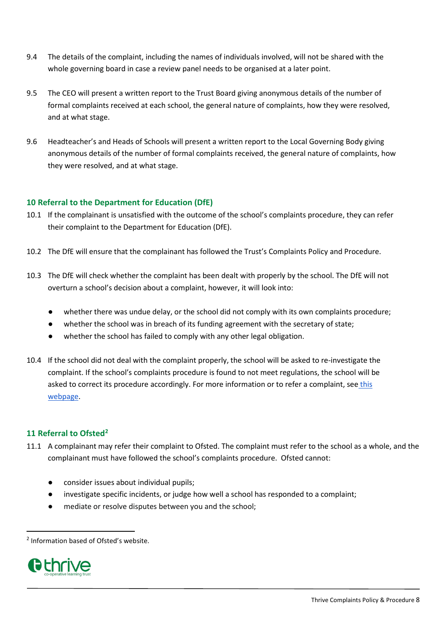- 9.4 The details of the complaint, including the names of individuals involved, will not be shared with the whole governing board in case a review panel needs to be organised at a later point.
- 9.5 The CEO will present a written report to the Trust Board giving anonymous details of the number of formal complaints received at each school, the general nature of complaints, how they were resolved, and at what stage.
- 9.6 Headteacher's and Heads of Schools will present a written report to the Local Governing Body giving anonymous details of the number of formal complaints received, the general nature of complaints, how they were resolved, and at what stage.

## <span id="page-8-0"></span>**10 Referral to the Department for Education (DfE)**

- 10.1 If the complainant is unsatisfied with the outcome of the school's complaints procedure, they can refer their complaint to the Department for Education (DfE).
- 10.2 The DfE will ensure that the complainant has followed the Trust's Complaints Policy and Procedure.
- 10.3 The DfE will check whether the complaint has been dealt with properly by the school. The DfE will not overturn a school's decision about a complaint, however, it will look into:
	- whether there was undue delay, or the school did not comply with its own complaints procedure;
	- whether the school was in breach of its funding agreement with the secretary of state;
	- whether the school has failed to comply with any other legal obligation.
- 10.4 If the school did not deal with the complaint properly, the school will be asked to re-investigate the complaint. If the school's complaints procedure is found to not meet regulations, the school will be asked to correct its procedure accordingly. For more information or to refer a complaint, see [this](https://www.gov.uk/government/organisations/education-and-skills-funding-agency/about/complaints-procedure)  [webpage.](https://www.gov.uk/government/organisations/education-and-skills-funding-agency/about/complaints-procedure)

#### <span id="page-8-1"></span>**11 Referral to Ofsted[2](#page-8-2)**

- 11.1 A complainant may refer their complaint to Ofsted. The complaint must refer to the school as a whole, and the complainant must have followed the school's complaints procedure. Ofsted cannot:
	- consider issues about individual pupils;
	- investigate specific incidents, or judge how well a school has responded to a complaint;
	- mediate or resolve disputes between you and the school;

<span id="page-8-2"></span> <sup>2</sup> Information based of Ofsted's website.

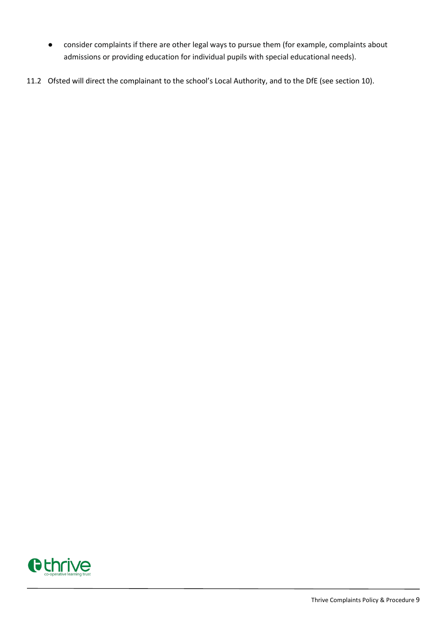- consider complaints if there are other legal ways to pursue them (for example, complaints about admissions or providing education for individual pupils with special educational needs).
- 11.2 Ofsted will direct the complainant to the school's Local Authority, and to the DfE (see section 10).

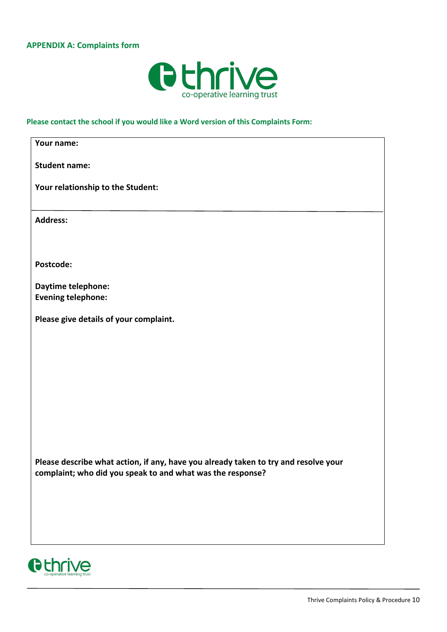## <span id="page-10-0"></span>**APPENDIX A: Complaints form**



## **Please contact the school if you would like a Word version of this Complaints Form:**

| Your name:                                                                                                                                        |
|---------------------------------------------------------------------------------------------------------------------------------------------------|
| <b>Student name:</b>                                                                                                                              |
| Your relationship to the Student:                                                                                                                 |
| <b>Address:</b>                                                                                                                                   |
|                                                                                                                                                   |
| Postcode:                                                                                                                                         |
| Daytime telephone:                                                                                                                                |
| <b>Evening telephone:</b>                                                                                                                         |
| Please give details of your complaint.                                                                                                            |
|                                                                                                                                                   |
|                                                                                                                                                   |
|                                                                                                                                                   |
|                                                                                                                                                   |
|                                                                                                                                                   |
|                                                                                                                                                   |
|                                                                                                                                                   |
| Please describe what action, if any, have you already taken to try and resolve your<br>complaint; who did you speak to and what was the response? |
|                                                                                                                                                   |
|                                                                                                                                                   |
|                                                                                                                                                   |
|                                                                                                                                                   |

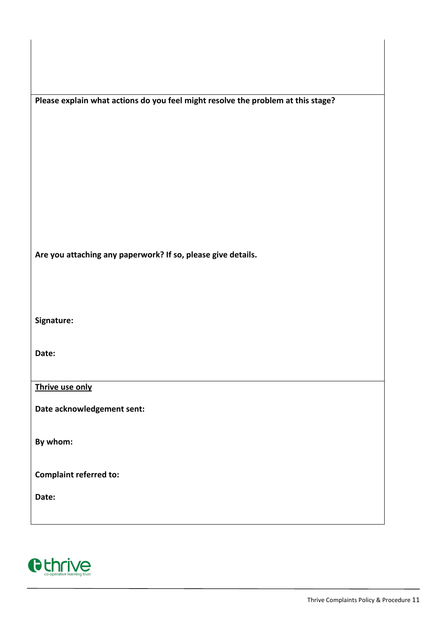| Please explain what actions do you feel might resolve the problem at this stage? |
|----------------------------------------------------------------------------------|
|----------------------------------------------------------------------------------|

**Are you attaching any paperwork? If so, please give details.**

**Signature:**

**Date:**

**Thrive use only**

**Date acknowledgement sent:**

**By whom:** 

**Complaint referred to:**

**Date:**